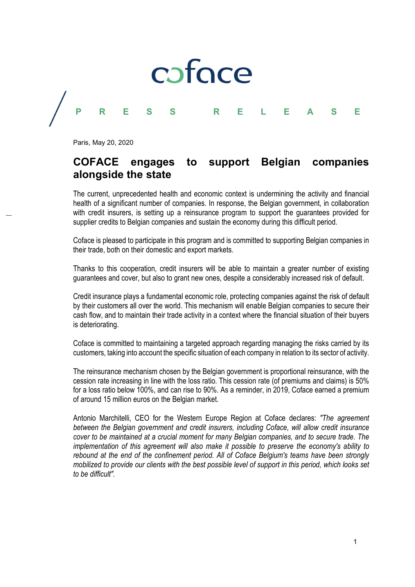# COFOCE<br>
P R E S S R E L E A S E<br>
Paris, May 20, 2020

Paris, May 20, 2020

## COFACE engages to support Belgian companies alongside the state

The current, unprecedented health and economic context is undermining the activity and financial health of a significant number of companies. In response, the Belgian government, in collaboration with credit insurers, is setting up a reinsurance program to support the guarantees provided for supplier credits to Belgian companies and sustain the economy during this difficult period.

Coface is pleased to participate in this program and is committed to supporting Belgian companies in their trade, both on their domestic and export markets.

Thanks to this cooperation, credit insurers will be able to maintain a greater number of existing guarantees and cover, but also to grant new ones, despite a considerably increased risk of default.

Credit insurance plays a fundamental economic role, protecting companies against the risk of default by their customers all over the world. This mechanism will enable Belgian companies to secure their cash flow, and to maintain their trade activity in a context where the financial situation of their buyers is deteriorating.

Coface is committed to maintaining a targeted approach regarding managing the risks carried by its customers, taking into account the specific situation of each company in relation to its sector of activity.

The reinsurance mechanism chosen by the Belgian government is proportional reinsurance, with the cession rate increasing in line with the loss ratio. This cession rate (of premiums and claims) is 50% for a loss ratio below 100%, and can rise to 90%. As a reminder, in 2019, Coface earned a premium of around 15 million euros on the Belgian market.

Antonio Marchitelli, CEO for the Western Europe Region at Coface declares: "The agreement between the Belgian government and credit insurers, including Coface, will allow credit insurance cover to be maintained at a crucial moment for many Belgian companies, and to secure trade. The implementation of this agreement will also make it possible to preserve the economy's ability to rebound at the end of the confinement period. All of Coface Belgium's teams have been strongly mobilized to provide our clients with the best possible level of support in this period, which looks set to be difficult".